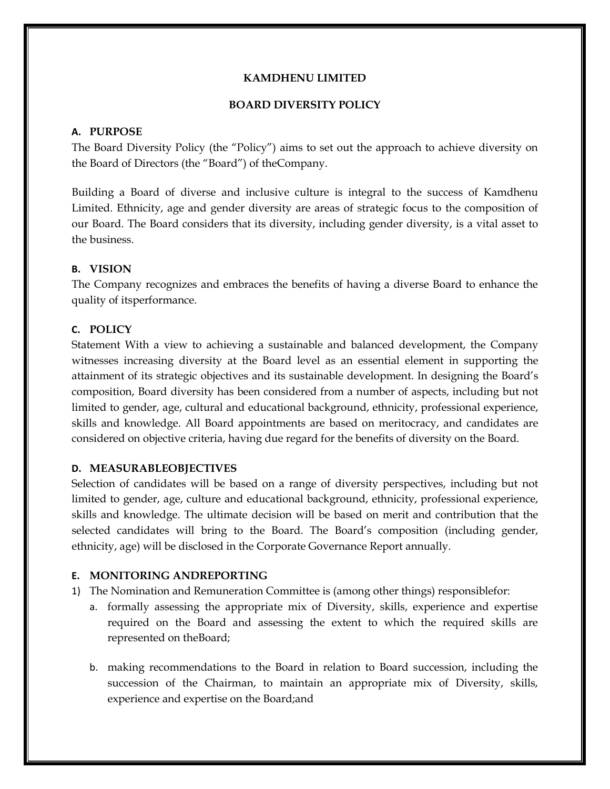### **KAMDHENU LIMITED**

### **BOARD DIVERSITY POLICY**

### **A. PURPOSE**

The Board Diversity Policy (the "Policy") aims to set out the approach to achieve diversity on the Board of Directors (the "Board") of theCompany.

Building a Board of diverse and inclusive culture is integral to the success of Kamdhenu Limited. Ethnicity, age and gender diversity are areas of strategic focus to the composition of our Board. The Board considers that its diversity, including gender diversity, is a vital asset to the business.

# **B. VISION**

The Company recognizes and embraces the benefits of having a diverse Board to enhance the quality of itsperformance.

# **C. POLICY**

Statement With a view to achieving a sustainable and balanced development, the Company witnesses increasing diversity at the Board level as an essential element in supporting the attainment of its strategic objectives and its sustainable development. In designing the Board's composition, Board diversity has been considered from a number of aspects, including but not limited to gender, age, cultural and educational background, ethnicity, professional experience, skills and knowledge. All Board appointments are based on meritocracy, and candidates are considered on objective criteria, having due regard for the benefits of diversity on the Board.

# **D. MEASURABLEOBJECTIVES**

Selection of candidates will be based on a range of diversity perspectives, including but not limited to gender, age, culture and educational background, ethnicity, professional experience, skills and knowledge. The ultimate decision will be based on merit and contribution that the selected candidates will bring to the Board. The Board's composition (including gender, ethnicity, age) will be disclosed in the Corporate Governance Report annually.

# **E. MONITORING ANDREPORTING**

- 1) The Nomination and Remuneration Committee is (among other things) responsiblefor:
	- a. formally assessing the appropriate mix of Diversity, skills, experience and expertise required on the Board and assessing the extent to which the required skills are represented on theBoard;
	- b. making recommendations to the Board in relation to Board succession, including the succession of the Chairman, to maintain an appropriate mix of Diversity, skills, experience and expertise on the Board;and